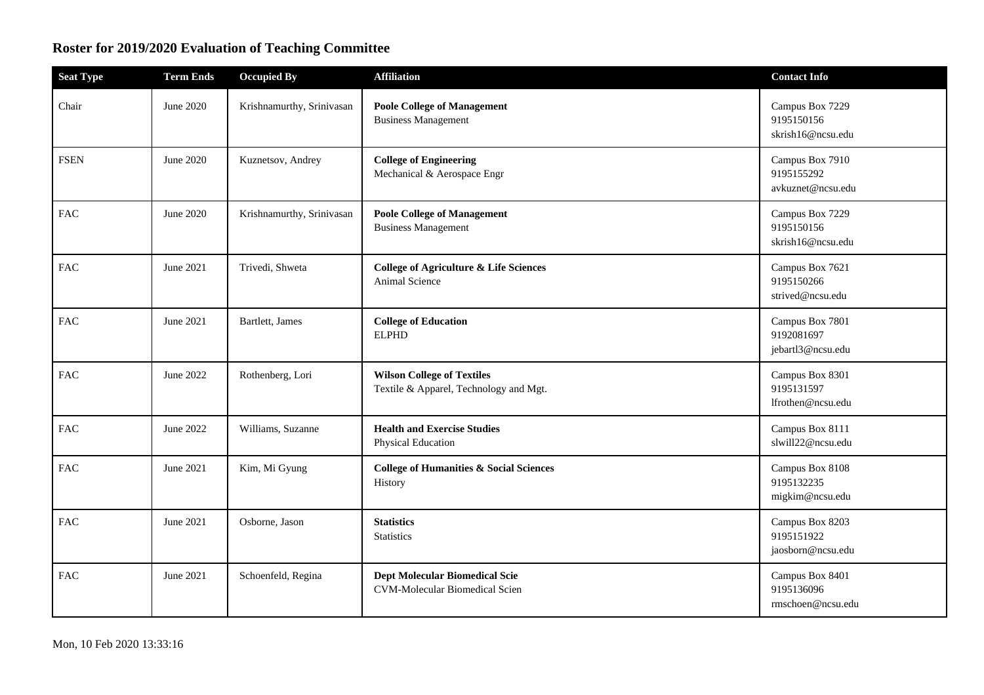## **Roster for 2019/2020 Evaluation of Teaching Committee**

| <b>Seat Type</b> | <b>Term Ends</b> | <b>Occupied By</b>        | <b>Affiliation</b>                                                             | <b>Contact Info</b>                                |
|------------------|------------------|---------------------------|--------------------------------------------------------------------------------|----------------------------------------------------|
| Chair            | June 2020        | Krishnamurthy, Srinivasan | <b>Poole College of Management</b><br><b>Business Management</b>               | Campus Box 7229<br>9195150156<br>skrish16@ncsu.edu |
| <b>FSEN</b>      | June 2020        | Kuznetsov, Andrey         | <b>College of Engineering</b><br>Mechanical & Aerospace Engr                   | Campus Box 7910<br>9195155292<br>avkuznet@ncsu.edu |
| <b>FAC</b>       | June 2020        | Krishnamurthy, Srinivasan | <b>Poole College of Management</b><br><b>Business Management</b>               | Campus Box 7229<br>9195150156<br>skrish16@ncsu.edu |
| <b>FAC</b>       | June 2021        | Trivedi, Shweta           | <b>College of Agriculture &amp; Life Sciences</b><br>Animal Science            | Campus Box 7621<br>9195150266<br>strived@ncsu.edu  |
| <b>FAC</b>       | June 2021        | Bartlett, James           | <b>College of Education</b><br><b>ELPHD</b>                                    | Campus Box 7801<br>9192081697<br>jebartl3@ncsu.edu |
| <b>FAC</b>       | June 2022        | Rothenberg, Lori          | <b>Wilson College of Textiles</b><br>Textile & Apparel, Technology and Mgt.    | Campus Box 8301<br>9195131597<br>lfrothen@ncsu.edu |
| <b>FAC</b>       | June 2022        | Williams, Suzanne         | <b>Health and Exercise Studies</b><br>Physical Education                       | Campus Box 8111<br>slwill22@ncsu.edu               |
| <b>FAC</b>       | June 2021        | Kim, Mi Gyung             | <b>College of Humanities &amp; Social Sciences</b><br>History                  | Campus Box 8108<br>9195132235<br>migkim@ncsu.edu   |
| FAC              | June 2021        | Osborne, Jason            | <b>Statistics</b><br><b>Statistics</b>                                         | Campus Box 8203<br>9195151922<br>jaosborn@ncsu.edu |
| <b>FAC</b>       | June 2021        | Schoenfeld, Regina        | <b>Dept Molecular Biomedical Scie</b><br><b>CVM-Molecular Biomedical Scien</b> | Campus Box 8401<br>9195136096<br>rmschoen@ncsu.edu |